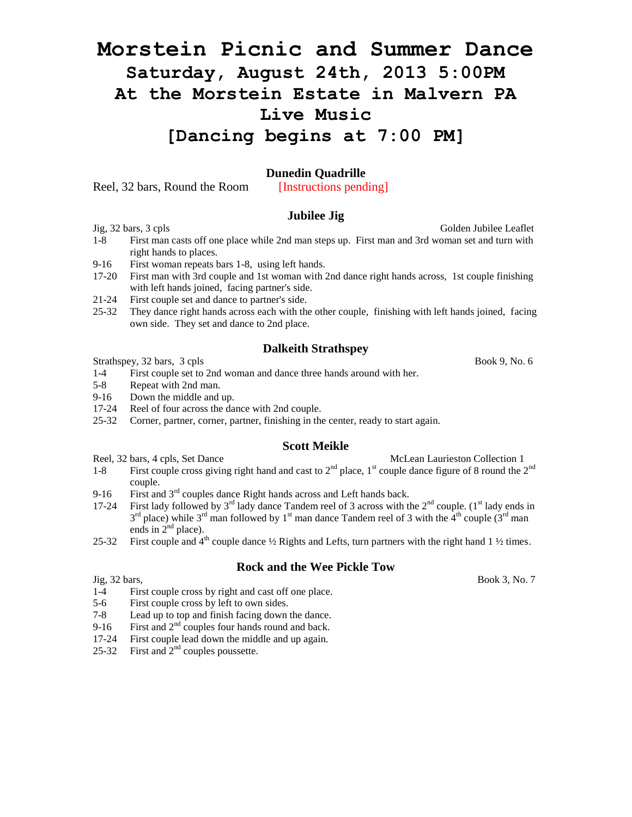# **Morstein Picnic and Summer Dance Saturday, August 24th, 2013 5:00PM At the Morstein Estate in Malvern PA Live Music [Dancing begins at 7:00 PM]**

# **Dunedin Quadrille**

Reel, 32 bars, Round the Room [Instructions pending]

# **Jubilee Jig**

- Jig, 32 bars, 3 cpls Golden Jubilee Leaflet
- 1-8 First man casts off one place while 2nd man steps up. First man and 3rd woman set and turn with right hands to places.
- 9-16 First woman repeats bars 1-8, using left hands.
- 17-20 First man with 3rd couple and 1st woman with 2nd dance right hands across, 1st couple finishing with left hands joined, facing partner's side.
- 21-24 First couple set and dance to partner's side.
- 25-32 They dance right hands across each with the other couple, finishing with left hands joined, facing own side. They set and dance to 2nd place.

#### **Dalkeith Strathspey**

Strathspey, 32 bars, 3 cpls Book 9, No. 6

- 1-4 First couple set to 2nd woman and dance three hands around with her.
- 5-8 Repeat with 2nd man.
- 9-16 Down the middle and up.
- 17-24 Reel of four across the dance with 2nd couple.
- 25-32 Corner, partner, corner, partner, finishing in the center, ready to start again.

#### **Scott Meikle**

- Reel, 32 bars, 4 cpls, Set Dance McLean Laurieston Collection 1
- 1-8 First couple cross giving right hand and cast to  $2<sup>nd</sup>$  place, 1<sup>st</sup> couple dance figure of 8 round the  $2<sup>nd</sup>$ couple.
- 9-16 First and  $3<sup>rd</sup>$  couples dance Right hands across and Left hands back.
- 17-24 First lady followed by  $3^{rd}$  lady dance Tandem reel of 3 across with the  $2^{nd}$  couple. ( $1^{st}$  lady ends in  $3^{rd}$  place) while  $3^{rd}$  man followed by  $1^{st}$  man dance Tandem reel of 3 with the  $4^{th}$  couple  $(3^{rd}$  man ends in  $2<sup>nd</sup>$  place).
- 25-32 First couple and  $4<sup>th</sup>$  couple dance  $\frac{1}{2}$  Rights and Lefts, turn partners with the right hand 1  $\frac{1}{2}$  times.

# **Rock and the Wee Pickle Tow**

- 1-4 First couple cross by right and cast off one place.
- 5-6 First couple cross by left to own sides.
- 7-8 Lead up to top and finish facing down the dance.
- 9-16 First and  $2<sup>nd</sup>$  couples four hands round and back.
- 17-24 First couple lead down the middle and up again.
- 25-32 First and  $2<sup>nd</sup>$  couples poussette.

Jig, 32 bars, Book 3, No. 7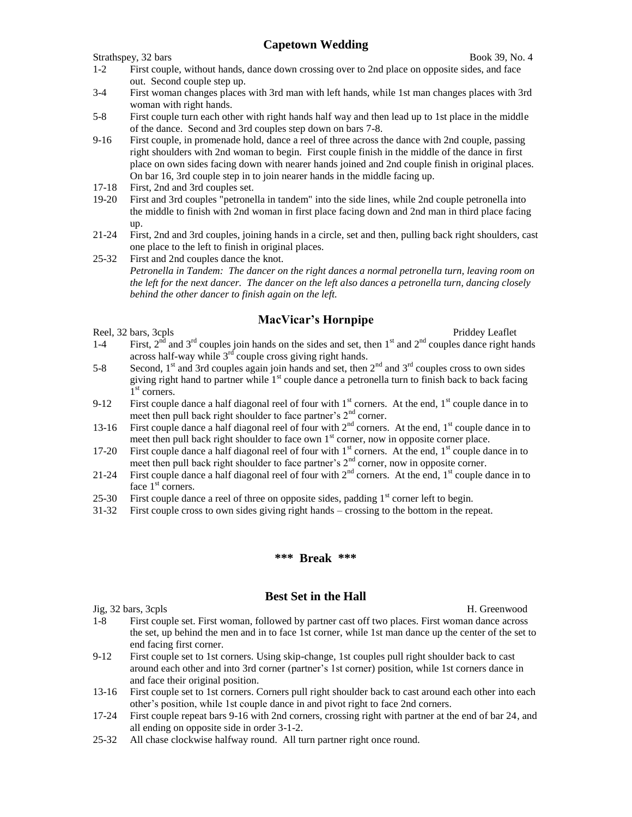# **Capetown Wedding**

Strathspey, 32 bars Book 39, No. 4

- 1-2 First couple, without hands, dance down crossing over to 2nd place on opposite sides, and face out. Second couple step up.
- 3-4 First woman changes places with 3rd man with left hands, while 1st man changes places with 3rd woman with right hands.
- 5-8 First couple turn each other with right hands half way and then lead up to 1st place in the middle of the dance. Second and 3rd couples step down on bars 7-8.
- 9-16 First couple, in promenade hold, dance a reel of three across the dance with 2nd couple, passing right shoulders with 2nd woman to begin. First couple finish in the middle of the dance in first place on own sides facing down with nearer hands joined and 2nd couple finish in original places. On bar 16, 3rd couple step in to join nearer hands in the middle facing up.
- 17-18 First, 2nd and 3rd couples set.
- 19-20 First and 3rd couples "petronella in tandem" into the side lines, while 2nd couple petronella into the middle to finish with 2nd woman in first place facing down and 2nd man in third place facing up.
- 21-24 First, 2nd and 3rd couples, joining hands in a circle, set and then, pulling back right shoulders, cast one place to the left to finish in original places.
- 25-32 First and 2nd couples dance the knot. *Petronella in Tandem: The dancer on the right dances a normal petronella turn, leaving room on the left for the next dancer. The dancer on the left also dances a petronella turn, dancing closely behind the other dancer to finish again on the left.*

# **MacVicar's Hornpipe**

Reel, 32 bars, 3cpls Priddey Leaflet

- 1-4 First,  $2^{n\bar{d}}$  and  $3^{rd}$  couples join hands on the sides and set, then  $1^{st}$  and  $2^{nd}$  couples dance right hands across half-way while  $3<sup>rd</sup>$  couple cross giving right hands.
- 5-8 Second,  $1<sup>st</sup>$  and 3rd couples again join hands and set, then  $2<sup>nd</sup>$  and  $3<sup>rd</sup>$  couples cross to own sides giving right hand to partner while  $1<sup>st</sup>$  couple dance a petronella turn to finish back to back facing I<sup>st</sup> corners.
- 9-12 First couple dance a half diagonal reel of four with  $1<sup>st</sup>$  corners. At the end,  $1<sup>st</sup>$  couple dance in to meet then pull back right shoulder to face partner's  $2<sup>nd</sup>$  corner.
- 13-16 First couple dance a half diagonal reel of four with  $2<sup>nd</sup>$  corners. At the end,  $1<sup>st</sup>$  couple dance in to meet then pull back right shoulder to face own  $1<sup>st</sup>$  corner, now in opposite corner place.
- 17-20 First couple dance a half diagonal reel of four with 1<sup>st</sup> corners. At the end, 1<sup>st</sup> couple dance in to meet then pull back right shoulder to face partner's  $2<sup>nd</sup>$  corner, now in opposite corner.
- 21-24 First couple dance a half diagonal reel of four with  $2<sup>nd</sup>$  corners. At the end,  $1<sup>st</sup>$  couple dance in to face  $1<sup>st</sup>$  corners.
- 25-30 First couple dance a reel of three on opposite sides, padding  $1<sup>st</sup>$  corner left to begin.
- 31-32 First couple cross to own sides giving right hands crossing to the bottom in the repeat.

#### **\*\*\* Break \*\*\***

# **Best Set in the Hall**

Jig, 32 bars, 3cpls H. Greenwood

- 1-8 First couple set. First woman, followed by partner cast off two places. First woman dance across the set, up behind the men and in to face 1st corner, while 1st man dance up the center of the set to end facing first corner.
- 9-12 First couple set to 1st corners. Using skip-change, 1st couples pull right shoulder back to cast around each other and into 3rd corner (partner's 1st corner) position, while 1st corners dance in and face their original position.
- 13-16 First couple set to 1st corners. Corners pull right shoulder back to cast around each other into each other's position, while 1st couple dance in and pivot right to face 2nd corners.
- 17-24 First couple repeat bars 9-16 with 2nd corners, crossing right with partner at the end of bar 24, and all ending on opposite side in order 3-1-2.
- 25-32 All chase clockwise halfway round. All turn partner right once round.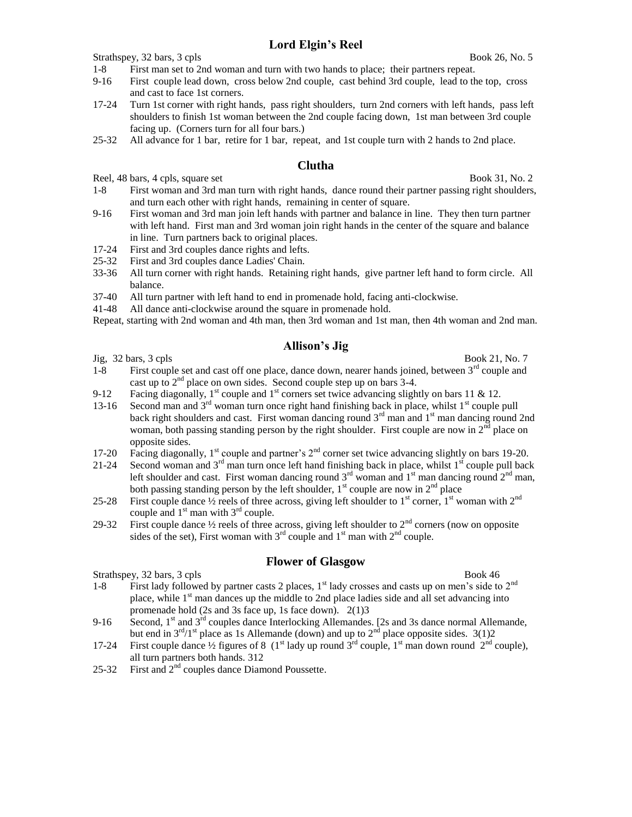# **Lord Elgin's Reel**

Strathspey, 32 bars, 3 cpls Book 26, No. 5

# 1-8 First man set to 2nd woman and turn with two hands to place; their partners repeat.

- 9-16 First couple lead down, cross below 2nd couple, cast behind 3rd couple, lead to the top, cross and cast to face 1st corners.
- 17-24 Turn 1st corner with right hands, pass right shoulders, turn 2nd corners with left hands, pass left shoulders to finish 1st woman between the 2nd couple facing down, 1st man between 3rd couple facing up. (Corners turn for all four bars.)
- 25-32 All advance for 1 bar, retire for 1 bar, repeat, and 1st couple turn with 2 hands to 2nd place.

#### **Clutha**

Reel, 48 bars, 4 cpls, square set Book 31, No. 2

- 1-8 First woman and 3rd man turn with right hands, dance round their partner passing right shoulders, and turn each other with right hands, remaining in center of square.
- 9-16 First woman and 3rd man join left hands with partner and balance in line. They then turn partner with left hand. First man and 3rd woman join right hands in the center of the square and balance in line. Turn partners back to original places.
- 17-24 First and 3rd couples dance rights and lefts.
- 25-32 First and 3rd couples dance Ladies' Chain.
- 33-36 All turn corner with right hands. Retaining right hands, give partner left hand to form circle. All balance.
- 37-40 All turn partner with left hand to end in promenade hold, facing anti-clockwise.
- 41-48 All dance anti-clockwise around the square in promenade hold.

Repeat, starting with 2nd woman and 4th man, then 3rd woman and 1st man, then 4th woman and 2nd man.

### **Allison's Jig**

- $Jig, 32 \text{ bars}, 3 \text{ cpls}$  Book 21, No. 7 1-8 First couple set and cast off one place, dance down, nearer hands joined, between  $3<sup>rd</sup>$  couple and cast up to  $2<sup>nd</sup>$  place on own sides. Second couple step up on bars 3-4.
- 9-12 Facing diagonally,  $1^{st}$  couple and  $1^{st}$  corners set twice advancing slightly on bars 11 & 12.
- 13-16 Second man and  $3<sup>rd</sup>$  woman turn once right hand finishing back in place, whilst  $1<sup>st</sup>$  couple pull back right shoulders and cast. First woman dancing round  $3<sup>rd</sup>$  man and  $1<sup>st</sup>$  man dancing round 2nd woman, both passing standing person by the right shoulder. First couple are now in  $2<sup>nd</sup>$  place on opposite sides.
- 17-20 Facing diagonally, 1<sup>st</sup> couple and partner's 2<sup>nd</sup> corner set twice advancing slightly on bars 19-20.
- 21-24 Second woman and  $3<sup>rd</sup>$  man turn once left hand finishing back in place, whilst  $1<sup>st</sup>$  couple pull back left shoulder and cast. First woman dancing round  $3<sup>rd</sup>$  woman and  $1<sup>st</sup>$  man dancing round  $2<sup>nd</sup>$  man, both passing standing person by the left shoulder,  $1<sup>st</sup>$  couple are now in  $2<sup>nd</sup>$  place
- 25-28 First couple dance  $\frac{1}{2}$  reels of three across, giving left shoulder to 1<sup>st</sup> corner, 1<sup>st</sup> woman with 2<sup>nd</sup> couple and  $1<sup>st</sup>$  man with  $3<sup>rd</sup>$  couple.
- 29-32 First couple dance  $\frac{1}{2}$  reels of three across, giving left shoulder to  $2^{nd}$  corners (now on opposite sides of the set), First woman with  $3<sup>rd</sup>$  couple and  $1<sup>st</sup>$  man with  $2<sup>nd</sup>$  couple.

#### **Flower of Glasgow**

Strathspey, 32 bars, 3 cpls Book 46

- 1-8 First lady followed by partner casts 2 places,  $1<sup>st</sup>$  lady crosses and casts up on men's side to  $2<sup>nd</sup>$ place, while  $1<sup>st</sup>$  man dances up the middle to 2nd place ladies side and all set advancing into promenade hold (2s and 3s face up, 1s face down). 2(1)3
- 9-16 Second,  $1<sup>st</sup>$  and  $3<sup>rd</sup>$  couples dance Interlocking Allemandes. [2s and 3s dance normal Allemande, but end in  $3^{\text{rd}}/1^{\text{st}}$  place as 1s Allemande (down) and up to  $2^{\text{nd}}$  place opposite sides. 3(1)2
- 17-24 First couple dance  $\frac{1}{2}$  figures of 8 (1<sup>st</sup> lady up round 3<sup>rd</sup> couple, 1<sup>st</sup> man down round 2<sup>nd</sup> couple), all turn partners both hands. 312
- 25-32 First and 2nd couples dance Diamond Poussette.